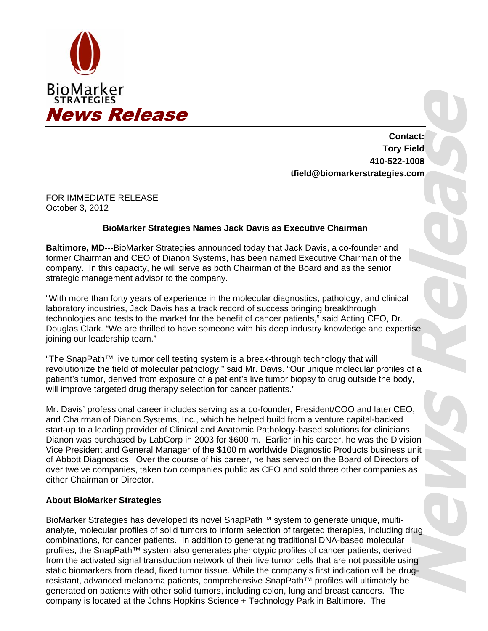

**Contact: Tory Field 410-522-1008 tfield@biomarkerstrategies.com** 

FOR IMMEDIATE RELEASE October 3, 2012

## **BioMarker Strategies Names Jack Davis as Executive Chairman**

**Baltimore, MD**---BioMarker Strategies announced today that Jack Davis, a co-founder and former Chairman and CEO of Dianon Systems, has been named Executive Chairman of the company. In this capacity, he will serve as both Chairman of the Board and as the senior strategic management advisor to the company.

"With more than forty years of experience in the molecular diagnostics, pathology, and clinical laboratory industries, Jack Davis has a track record of success bringing breakthrough technologies and tests to the market for the benefit of cancer patients," said Acting CEO, Dr. Douglas Clark. "We are thrilled to have someone with his deep industry knowledge and expertise joining our leadership team."

"The SnapPath™ live tumor cell testing system is a break-through technology that will revolutionize the field of molecular pathology," said Mr. Davis. "Our unique molecular profiles of a patient's tumor, derived from exposure of a patient's live tumor biopsy to drug outside the body, will improve targeted drug therapy selection for cancer patients."

Mr. Davis' professional career includes serving as a co-founder, President/COO and later CEO, and Chairman of Dianon Systems, Inc., which he helped build from a venture capital-backed start-up to a leading provider of Clinical and Anatomic Pathology-based solutions for clinicians. Dianon was purchased by LabCorp in 2003 for \$600 m. Earlier in his career, he was the Division Vice President and General Manager of the \$100 m worldwide Diagnostic Products business unit of Abbott Diagnostics. Over the course of his career, he has served on the Board of Directors of over twelve companies, taken two companies public as CEO and sold three other companies as either Chairman or Director.

## **About BioMarker Strategies**

BioMarker Strategies has developed its novel SnapPath™ system to generate unique, multianalyte, molecular profiles of solid tumors to inform selection of targeted therapies, including drug combinations, for cancer patients. In addition to generating traditional DNA-based molecular profiles, the SnapPath™ system also generates phenotypic profiles of cancer patients, derived from the activated signal transduction network of their live tumor cells that are not possible using static biomarkers from dead, fixed tumor tissue. While the company's first indication will be drugresistant, advanced melanoma patients, comprehensive SnapPath™ profiles will ultimately be generated on patients with other solid tumors, including colon, lung and breast cancers. The company is located at the Johns Hopkins Science + Technology Park in Baltimore. The